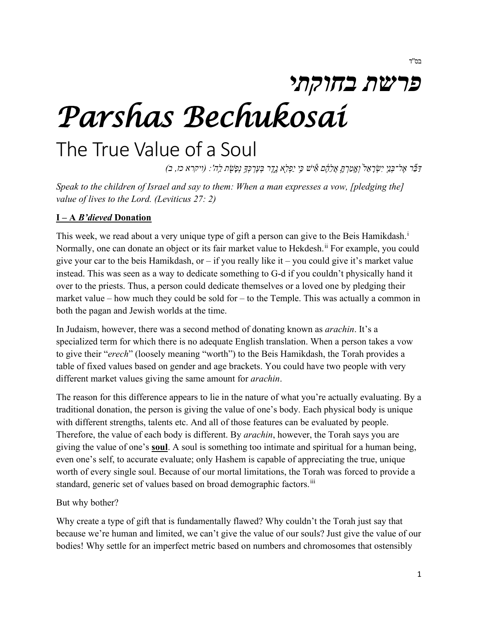# *פרשת בחוקתי Parshas Bechukosai*

# The True Value of a Soul

*דַּ בֵּ֞ ר אֶ ל־בְּ נֵ֤י יִשְׂ רָ אֵ ל֙ וְ אָֽ מַ רְ תָּ ֣ אֲלֵהֶ֔ ם אִ֕ ישׁ כִּ ֥י יַפְ לִ ֖א נֶ ֑ דֶ ר בְּ עֶרְ כְּ �֥ נְפָשֹׁ֖ ת לַֽ ה': (ויקרא כז, ב)* 

*Speak to the children of Israel and say to them: When a man expresses a vow, [pledging the] value of lives to the Lord. (Leviticus 27: 2)*

#### **I – A** *B'dieved* **Donation**

Th[i](#page-3-0)s week, we read about a very unique type of gift a person can give to the Beis Hamikdash.<sup>i</sup> Normally, one can donate an object or its fair market value to Hekdesh.<sup>[ii](#page-3-1)</sup> For example, you could give your car to the beis Hamikdash, or  $-$  if you really like it  $-$  you could give it's market value instead. This was seen as a way to dedicate something to G-d if you couldn't physically hand it over to the priests. Thus, a person could dedicate themselves or a loved one by pledging their market value – how much they could be sold for – to the Temple. This was actually a common in both the pagan and Jewish worlds at the time.

In Judaism, however, there was a second method of donating known as *arachin*. It's a specialized term for which there is no adequate English translation. When a person takes a vow to give their "*erech*" (loosely meaning "worth") to the Beis Hamikdash, the Torah provides a table of fixed values based on gender and age brackets. You could have two people with very different market values giving the same amount for *arachin*.

The reason for this difference appears to lie in the nature of what you're actually evaluating. By a traditional donation, the person is giving the value of one's body. Each physical body is unique with different strengths, talents etc. And all of those features can be evaluated by people. Therefore, the value of each body is different. By *arachin*, however, the Torah says you are giving the value of one's **soul**. A soul is something too intimate and spiritual for a human being, even one's self, to accurate evaluate; only Hashem is capable of appreciating the true, unique worth of every single soul. Because of our mortal limitations, the Torah was forced to provide a standard, generic set of values based on broad demographic factors.<sup>[iii](#page-3-2)</sup>

#### But why bother?

Why create a type of gift that is fundamentally flawed? Why couldn't the Torah just say that because we're human and limited, we can't give the value of our souls? Just give the value of our bodies! Why settle for an imperfect metric based on numbers and chromosomes that ostensibly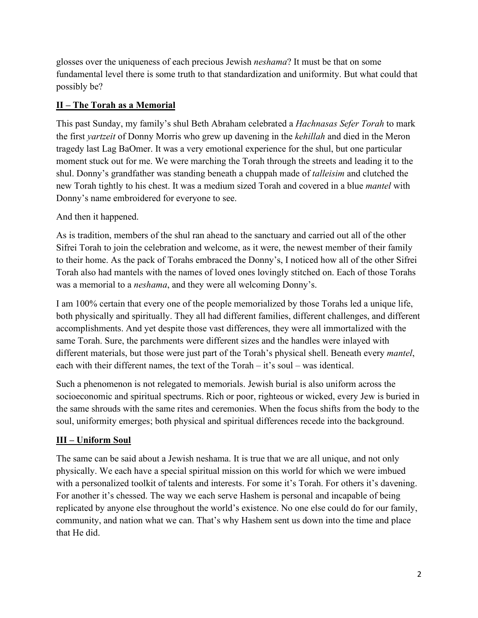glosses over the uniqueness of each precious Jewish *neshama*? It must be that on some fundamental level there is some truth to that standardization and uniformity. But what could that possibly be?

#### **II – The Torah as a Memorial**

This past Sunday, my family's shul Beth Abraham celebrated a *Hachnasas Sefer Torah* to mark the first *yartzeit* of Donny Morris who grew up davening in the *kehillah* and died in the Meron tragedy last Lag BaOmer. It was a very emotional experience for the shul, but one particular moment stuck out for me. We were marching the Torah through the streets and leading it to the shul. Donny's grandfather was standing beneath a chuppah made of *talleisim* and clutched the new Torah tightly to his chest. It was a medium sized Torah and covered in a blue *mantel* with Donny's name embroidered for everyone to see.

### And then it happened.

As is tradition, members of the shul ran ahead to the sanctuary and carried out all of the other Sifrei Torah to join the celebration and welcome, as it were, the newest member of their family to their home. As the pack of Torahs embraced the Donny's, I noticed how all of the other Sifrei Torah also had mantels with the names of loved ones lovingly stitched on. Each of those Torahs was a memorial to a *neshama*, and they were all welcoming Donny's.

I am 100% certain that every one of the people memorialized by those Torahs led a unique life, both physically and spiritually. They all had different families, different challenges, and different accomplishments. And yet despite those vast differences, they were all immortalized with the same Torah. Sure, the parchments were different sizes and the handles were inlayed with different materials, but those were just part of the Torah's physical shell. Beneath every *mantel*, each with their different names, the text of the  $Torah - it's$  soul – was identical.

Such a phenomenon is not relegated to memorials. Jewish burial is also uniform across the socioeconomic and spiritual spectrums. Rich or poor, righteous or wicked, every Jew is buried in the same shrouds with the same rites and ceremonies. When the focus shifts from the body to the soul, uniformity emerges; both physical and spiritual differences recede into the background.

## **III – Uniform Soul**

The same can be said about a Jewish neshama. It is true that we are all unique, and not only physically. We each have a special spiritual mission on this world for which we were imbued with a personalized toolkit of talents and interests. For some it's Torah. For others it's davening. For another it's chessed. The way we each serve Hashem is personal and incapable of being replicated by anyone else throughout the world's existence. No one else could do for our family, community, and nation what we can. That's why Hashem sent us down into the time and place that He did.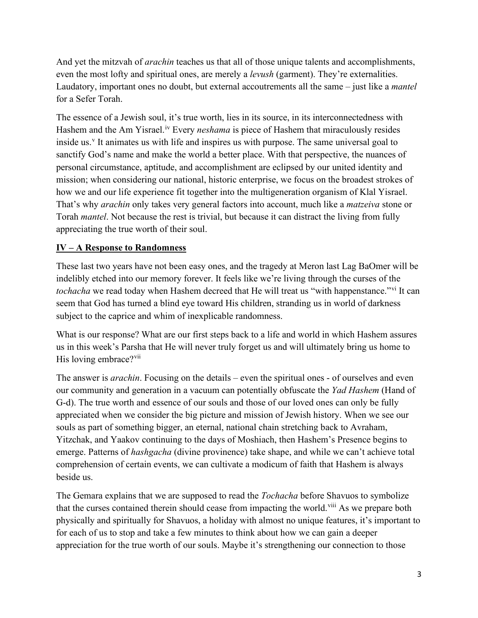And yet the mitzvah of *arachin* teaches us that all of those unique talents and accomplishments, even the most lofty and spiritual ones, are merely a *levush* (garment). They're externalities. Laudatory, important ones no doubt, but external accoutrements all the same – just like a *mantel* for a Sefer Torah.

The essence of a Jewish soul, it's true worth, lies in its source, in its interconnectedness with Hashem and the Am Yisrael.<sup>iv</sup> Every *neshama* is piece of Hashem that miraculously resides inside us.<sup>[v](#page-3-4)</sup> It animates us with life and inspires us with purpose. The same universal goal to sanctify God's name and make the world a better place. With that perspective, the nuances of personal circumstance, aptitude, and accomplishment are eclipsed by our united identity and mission; when considering our national, historic enterprise, we focus on the broadest strokes of how we and our life experience fit together into the multigeneration organism of Klal Yisrael. That's why *arachin* only takes very general factors into account, much like a *matzeiva* stone or Torah *mantel*. Not because the rest is trivial, but because it can distract the living from fully appreciating the true worth of their soul.

#### **IV – A Response to Randomness**

These last two years have not been easy ones, and the tragedy at Meron last Lag BaOmer will be indelibly etched into our memory forever. It feels like we're living through the curses of the *tochacha* we read today when Hashem decreed that He will treat us "with happenstance."[vi](#page-3-5) It can seem that God has turned a blind eye toward His children, stranding us in world of darkness subject to the caprice and whim of inexplicable randomness.

What is our response? What are our first steps back to a life and world in which Hashem assures us in this week's Parsha that He will never truly forget us and will ultimately bring us home to His loving embrace?<sup>[vii](#page-3-6)</sup>

The answer is *arachin*. Focusing on the details – even the spiritual ones - of ourselves and even our community and generation in a vacuum can potentially obfuscate the *Yad Hashem* (Hand of G-d). The true worth and essence of our souls and those of our loved ones can only be fully appreciated when we consider the big picture and mission of Jewish history. When we see our souls as part of something bigger, an eternal, national chain stretching back to Avraham, Yitzchak, and Yaakov continuing to the days of Moshiach, then Hashem's Presence begins to emerge. Patterns of *hashgacha* (divine provinence) take shape, and while we can't achieve total comprehension of certain events, we can cultivate a modicum of faith that Hashem is always beside us.

The Gemara explains that we are supposed to read the *Tochacha* before Shavuos to symbolize that the curses contained therein should cease from impacting the world.<sup>[viii](#page-3-7)</sup> As we prepare both physically and spiritually for Shavuos, a holiday with almost no unique features, it's important to for each of us to stop and take a few minutes to think about how we can gain a deeper appreciation for the true worth of our souls. Maybe it's strengthening our connection to those